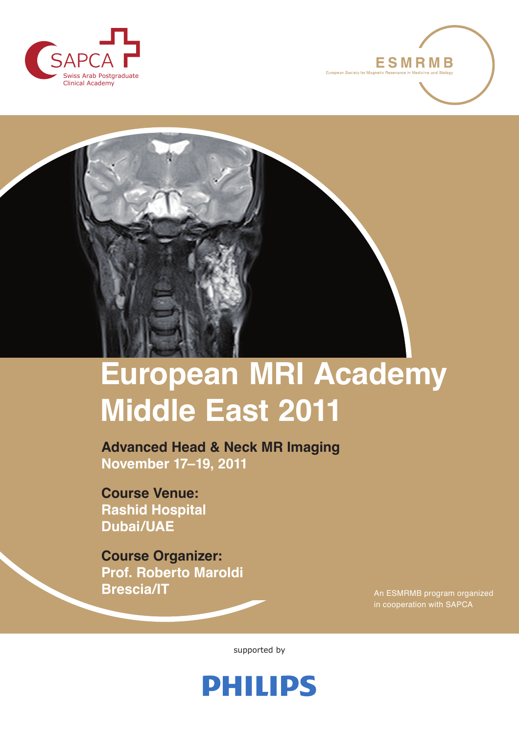





# **European MRI Academy Middle East 2011**

**Advanced Head & Neck MR Imaging November 17–19, 2011**

**Course Venue: Rashid Hospital Dubai/UAE**

**Course Organizer: Prof. Roberto Maroldi Brescia/IT**

An ESMRMB program organized in cooperation with SAPCA

supported by